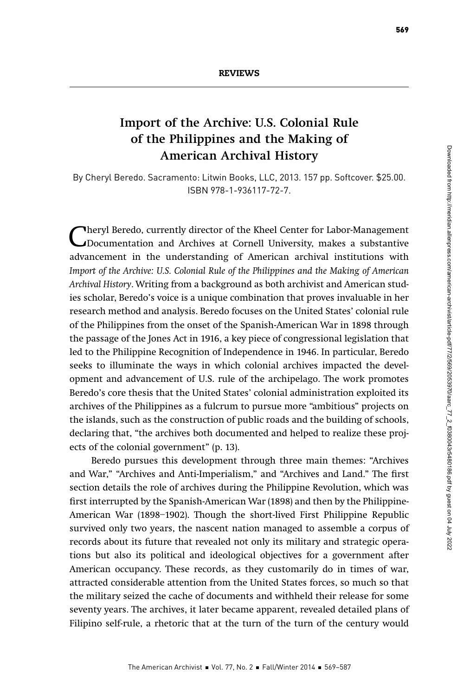# Import of the Archive: U.S. Colonial Rule of the Philippines and the Making of American Archival History

By Cheryl Beredo. Sacramento: Litwin Books, LLC, 2013. 157 pp. Softcover. \$25.00. ISBN 978-1-936117-72-7.

Cheryl Beredo, currently director of the Kheel Center for Labor-Management<br>Documentation and Archives at Cornell University, makes a substantive<br>advancement in the understanding of American archival institutions with advancement in the understanding of American archival institutions with Import of the Archive: U.S. Colonial Rule of the Philippines and the Making of American Archival History. Writing from a background as both archivist and American studies scholar, Beredo's voice is a unique combination that proves invaluable in her research method and analysis. Beredo focuses on the United States' colonial rule of the Philippines from the onset of the Spanish-American War in 1898 through the passage of the Jones Act in 1916, a key piece of congressional legislation that led to the Philippine Recognition of Independence in 1946. In particular, Beredo seeks to illuminate the ways in which colonial archives impacted the development and advancement of U.S. rule of the archipelago. The work promotes Beredo's core thesis that the United States' colonial administration exploited its archives of the Philippines as a fulcrum to pursue more "ambitious" projects on the islands, such as the construction of public roads and the building of schools, declaring that, "the archives both documented and helped to realize these projects of the colonial government" (p. 13).

Beredo pursues this development through three main themes: "Archives and War," "Archives and Anti-Imperialism," and "Archives and Land." The first section details the role of archives during the Philippine Revolution, which was first interrupted by the Spanish-American War (1898) and then by the Philippine-American War (1898–1902). Though the short-lived First Philippine Republic survived only two years, the nascent nation managed to assemble a corpus of records about its future that revealed not only its military and strategic operations but also its political and ideological objectives for a government after American occupancy. These records, as they customarily do in times of war, attracted considerable attention from the United States forces, so much so that the military seized the cache of documents and withheld their release for some seventy years. The archives, it later became apparent, revealed detailed plans of Filipino self-rule, a rhetoric that at the turn of the turn of the century would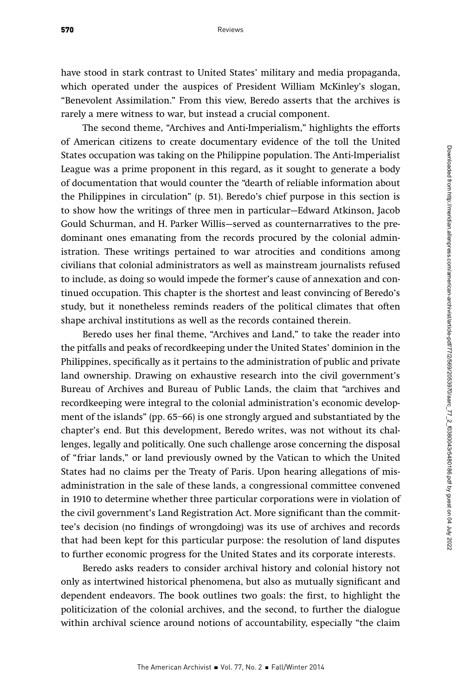have stood in stark contrast to United States' military and media propaganda, which operated under the auspices of President William McKinley's slogan, "Benevolent Assimilation." From this view, Beredo asserts that the archives is rarely a mere witness to war, but instead a crucial component.

The second theme, "Archives and Anti-Imperialism," highlights the efforts of American citizens to create documentary evidence of the toll the United States occupation was taking on the Philippine population. The Anti-Imperialist League was a prime proponent in this regard, as it sought to generate a body of documentation that would counter the "dearth of reliable information about the Philippines in circulation" (p. 51). Beredo's chief purpose in this section is to show how the writings of three men in particular—Edward Atkinson, Jacob Gould Schurman, and H. Parker Willis—served as counternarratives to the predominant ones emanating from the records procured by the colonial administration. These writings pertained to war atrocities and conditions among civilians that colonial administrators as well as mainstream journalists refused to include, as doing so would impede the former's cause of annexation and continued occupation. This chapter is the shortest and least convincing of Beredo's study, but it nonetheless reminds readers of the political climates that often shape archival institutions as well as the records contained therein.

Beredo uses her final theme, "Archives and Land," to take the reader into the pitfalls and peaks of recordkeeping under the United States' dominion in the Philippines, specifically as it pertains to the administration of public and private land ownership. Drawing on exhaustive research into the civil government's Bureau of Archives and Bureau of Public Lands, the claim that "archives and recordkeeping were integral to the colonial administration's economic development of the islands" (pp. 65–66) is one strongly argued and substantiated by the chapter's end. But this development, Beredo writes, was not without its challenges, legally and politically. One such challenge arose concerning the disposal of "friar lands," or land previously owned by the Vatican to which the United States had no claims per the Treaty of Paris. Upon hearing allegations of misadministration in the sale of these lands, a congressional committee convened in 1910 to determine whether three particular corporations were in violation of the civil government's Land Registration Act. More significant than the committee's decision (no findings of wrongdoing) was its use of archives and records that had been kept for this particular purpose: the resolution of land disputes to further economic progress for the United States and its corporate interests.

Beredo asks readers to consider archival history and colonial history not only as intertwined historical phenomena, but also as mutually significant and dependent endeavors. The book outlines two goals: the first, to highlight the politicization of the colonial archives, and the second, to further the dialogue within archival science around notions of accountability, especially "the claim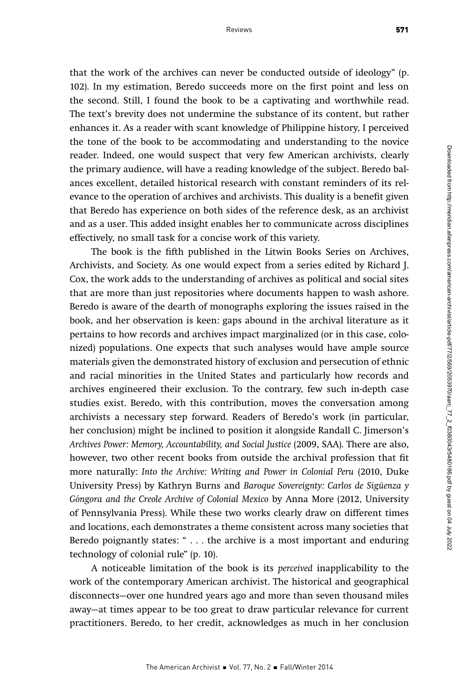that the work of the archives can never be conducted outside of ideology" (p. 102). In my estimation, Beredo succeeds more on the first point and less on the second. Still, I found the book to be a captivating and worthwhile read. The text's brevity does not undermine the substance of its content, but rather enhances it. As a reader with scant knowledge of Philippine history, I perceived the tone of the book to be accommodating and understanding to the novice reader. Indeed, one would suspect that very few American archivists, clearly the primary audience, will have a reading knowledge of the subject. Beredo balances excellent, detailed historical research with constant reminders of its relevance to the operation of archives and archivists. This duality is a benefit given that Beredo has experience on both sides of the reference desk, as an archivist and as a user. This added insight enables her to communicate across disciplines effectively, no small task for a concise work of this variety.

The book is the fifth published in the Litwin Books Series on Archives, Archivists, and Society. As one would expect from a series edited by Richard J. Cox, the work adds to the understanding of archives as political and social sites that are more than just repositories where documents happen to wash ashore. Beredo is aware of the dearth of monographs exploring the issues raised in the book, and her observation is keen: gaps abound in the archival literature as it pertains to how records and archives impact marginalized (or in this case, colonized) populations. One expects that such analyses would have ample source materials given the demonstrated history of exclusion and persecution of ethnic and racial minorities in the United States and particularly how records and archives engineered their exclusion. To the contrary, few such in-depth case studies exist. Beredo, with this contribution, moves the conversation among archivists a necessary step forward. Readers of Beredo's work (in particular, her conclusion) might be inclined to position it alongside Randall C. Jimerson's Archives Power: Memory, Accountability, and Social Justice (2009, SAA). There are also, however, two other recent books from outside the archival profession that fit more naturally: Into the Archive: Writing and Power in Colonial Peru (2010, Duke University Press) by Kathryn Burns and Baroque Sovereignty: Carlos de Sigüenza y Góngora and the Creole Archive of Colonial Mexico by Anna More (2012, University of Pennsylvania Press). While these two works clearly draw on different times and locations, each demonstrates a theme consistent across many societies that Beredo poignantly states: " . . . the archive is a most important and enduring technology of colonial rule" (p. 10).

A noticeable limitation of the book is its perceived inapplicability to the work of the contemporary American archivist. The historical and geographical disconnects—over one hundred years ago and more than seven thousand miles away—at times appear to be too great to draw particular relevance for current practitioners. Beredo, to her credit, acknowledges as much in her conclusion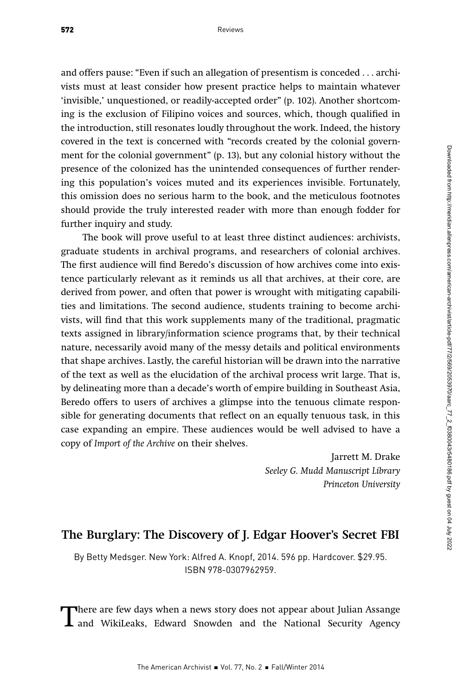and offers pause: "Even if such an allegation of presentism is conceded . . . archivists must at least consider how present practice helps to maintain whatever 'invisible,' unquestioned, or readily-accepted order" (p. 102). Another shortcoming is the exclusion of Filipino voices and sources, which, though qualified in the introduction, still resonates loudly throughout the work. Indeed, the history covered in the text is concerned with "records created by the colonial government for the colonial government" (p. 13), but any colonial history without the presence of the colonized has the unintended consequences of further rendering this population's voices muted and its experiences invisible. Fortunately, this omission does no serious harm to the book, and the meticulous footnotes should provide the truly interested reader with more than enough fodder for further inquiry and study.

The book will prove useful to at least three distinct audiences: archivists, graduate students in archival programs, and researchers of colonial archives. The first audience will find Beredo's discussion of how archives come into existence particularly relevant as it reminds us all that archives, at their core, are derived from power, and often that power is wrought with mitigating capabilities and limitations. The second audience, students training to become archivists, will find that this work supplements many of the traditional, pragmatic texts assigned in library/information science programs that, by their technical nature, necessarily avoid many of the messy details and political environments that shape archives. Lastly, the careful historian will be drawn into the narrative of the text as well as the elucidation of the archival process writ large. That is, by delineating more than a decade's worth of empire building in Southeast Asia, Beredo offers to users of archives a glimpse into the tenuous climate responsible for generating documents that reflect on an equally tenuous task, in this case expanding an empire. These audiences would be well advised to have a copy of Import of the Archive on their shelves.

> Jarrett M. Drake Seeley G. Mudd Manuscript Library Princeton University

## The Burglary: The Discovery of J. Edgar Hoover's Secret FBI

By Betty Medsger. New York: Alfred A. Knopf, 2014. 596 pp. Hardcover. \$29.95. ISBN 978-0307962959.

There are few days when a news story does not appear about Julian Assange<br>and WikiLeaks, Edward Snowden and the National Security Agency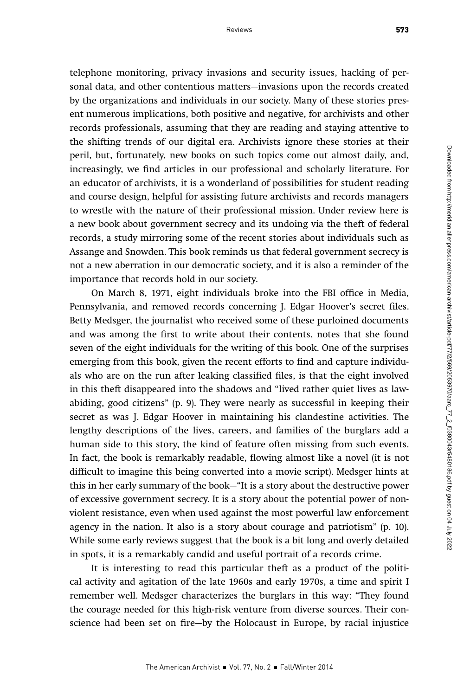telephone monitoring, privacy invasions and security issues, hacking of personal data, and other contentious matters—invasions upon the records created by the organizations and individuals in our society. Many of these stories present numerous implications, both positive and negative, for archivists and other records professionals, assuming that they are reading and staying attentive to the shifting trends of our digital era. Archivists ignore these stories at their peril, but, fortunately, new books on such topics come out almost daily, and, increasingly, we find articles in our professional and scholarly literature. For an educator of archivists, it is a wonderland of possibilities for student reading and course design, helpful for assisting future archivists and records managers to wrestle with the nature of their professional mission. Under review here is a new book about government secrecy and its undoing via the theft of federal records, a study mirroring some of the recent stories about individuals such as Assange and Snowden. This book reminds us that federal government secrecy is not a new aberration in our democratic society, and it is also a reminder of the importance that records hold in our society.

On March 8, 1971, eight individuals broke into the FBI office in Media, Pennsylvania, and removed records concerning J. Edgar Hoover's secret files. Betty Medsger, the journalist who received some of these purloined documents and was among the first to write about their contents, notes that she found seven of the eight individuals for the writing of this book. One of the surprises emerging from this book, given the recent efforts to find and capture individuals who are on the run after leaking classified files, is that the eight involved in this theft disappeared into the shadows and "lived rather quiet lives as lawabiding, good citizens" (p. 9). They were nearly as successful in keeping their secret as was J. Edgar Hoover in maintaining his clandestine activities. The lengthy descriptions of the lives, careers, and families of the burglars add a human side to this story, the kind of feature often missing from such events. In fact, the book is remarkably readable, flowing almost like a novel (it is not difficult to imagine this being converted into a movie script). Medsger hints at this in her early summary of the book—"It is a story about the destructive power of excessive government secrecy. It is a story about the potential power of nonviolent resistance, even when used against the most powerful law enforcement agency in the nation. It also is a story about courage and patriotism" (p. 10). While some early reviews suggest that the book is a bit long and overly detailed in spots, it is a remarkably candid and useful portrait of a records crime.

It is interesting to read this particular theft as a product of the political activity and agitation of the late 1960s and early 1970s, a time and spirit I remember well. Medsger characterizes the burglars in this way: "They found the courage needed for this high-risk venture from diverse sources. Their conscience had been set on fire—by the Holocaust in Europe, by racial injustice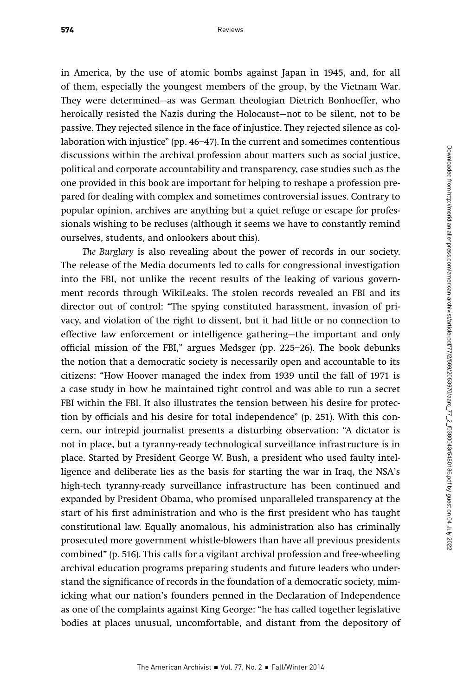in America, by the use of atomic bombs against Japan in 1945, and, for all of them, especially the youngest members of the group, by the Vietnam War. They were determined—as was German theologian Dietrich Bonhoeffer, who heroically resisted the Nazis during the Holocaust—not to be silent, not to be passive. They rejected silence in the face of injustice. They rejected silence as collaboration with injustice" (pp. 46–47). In the current and sometimes contentious discussions within the archival profession about matters such as social justice, political and corporate accountability and transparency, case studies such as the one provided in this book are important for helping to reshape a profession prepared for dealing with complex and sometimes controversial issues. Contrary to popular opinion, archives are anything but a quiet refuge or escape for professionals wishing to be recluses (although it seems we have to constantly remind ourselves, students, and onlookers about this).

The Burglary is also revealing about the power of records in our society. The release of the Media documents led to calls for congressional investigation into the FBI, not unlike the recent results of the leaking of various government records through WikiLeaks. The stolen records revealed an FBI and its director out of control: "The spying constituted harassment, invasion of privacy, and violation of the right to dissent, but it had little or no connection to effective law enforcement or intelligence gathering—the important and only official mission of the FBI," argues Medsger (pp. 225–26). The book debunks the notion that a democratic society is necessarily open and accountable to its citizens: "How Hoover managed the index from 1939 until the fall of 1971 is a case study in how he maintained tight control and was able to run a secret FBI within the FBI. It also illustrates the tension between his desire for protection by officials and his desire for total independence" (p. 251). With this concern, our intrepid journalist presents a disturbing observation: "A dictator is not in place, but a tyranny-ready technological surveillance infrastructure is in place. Started by President George W. Bush, a president who used faulty intelligence and deliberate lies as the basis for starting the war in Iraq, the NSA's high-tech tyranny-ready surveillance infrastructure has been continued and expanded by President Obama, who promised unparalleled transparency at the start of his first administration and who is the first president who has taught constitutional law. Equally anomalous, his administration also has criminally prosecuted more government whistle-blowers than have all previous presidents combined" (p. 516). This calls for a vigilant archival profession and free-wheeling archival education programs preparing students and future leaders who understand the significance of records in the foundation of a democratic society, mimicking what our nation's founders penned in the Declaration of Independence as one of the complaints against King George: "he has called together legislative bodies at places unusual, uncomfortable, and distant from the depository of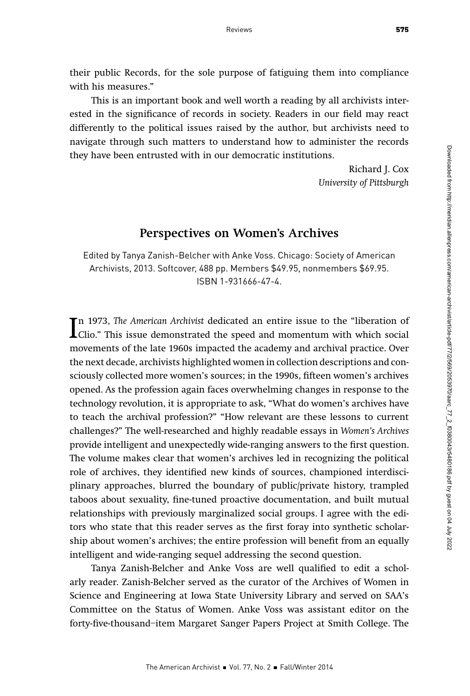their public Records, for the sole purpose of fatiguing them into compliance with his measures."

This is an important book and well worth a reading by all archivists interested in the significance of records in society. Readers in our field may react differently to the political issues raised by the author, but archivists need to navigate through such matters to understand how to administer the records they have been entrusted with in our democratic institutions.

> Richard J. Cox University of Pittsburgh

## Perspectives on Women's Archives

Edited by Tanya Zanish-Belcher with Anke Voss. Chicago: Society of American Archivists, 2013. Softcover, 488 pp. Members \$49.95, nonmembers \$69.95. ISBN 1-931666-47-4.

In 1973, *The American Archivist* dedicated an entire issue to the "liberation of Clio." This issue demonstrated the speed and momentum with which social movements of the late 1000s imposted the seedomy and archival mastic n 1973, The American Archivist dedicated an entire issue to the "liberation of movements of the late 1960s impacted the academy and archival practice. Over the next decade, archivists highlighted women in collection descriptions and consciously collected more women's sources; in the 1990s, fifteen women's archives opened. As the profession again faces overwhelming changes in response to the technology revolution, it is appropriate to ask, "What do women's archives have to teach the archival profession?" "How relevant are these lessons to current challenges?" The well-researched and highly readable essays in Women's Archives provide intelligent and unexpectedly wide-ranging answers to the first question. The volume makes clear that women's archives led in recognizing the political role of archives, they identified new kinds of sources, championed interdisciplinary approaches, blurred the boundary of public/private history, trampled taboos about sexuality, fine-tuned proactive documentation, and built mutual relationships with previously marginalized social groups. I agree with the editors who state that this reader serves as the first foray into synthetic scholarship about women's archives; the entire profession will benefit from an equally intelligent and wide-ranging sequel addressing the second question.

Tanya Zanish-Belcher and Anke Voss are well qualified to edit a scholarly reader. Zanish-Belcher served as the curator of the Archives of Women in Science and Engineering at Iowa State University Library and served on SAA's Committee on the Status of Women. Anke Voss was assistant editor on the forty-five-thousand–item Margaret Sanger Papers Project at Smith College. The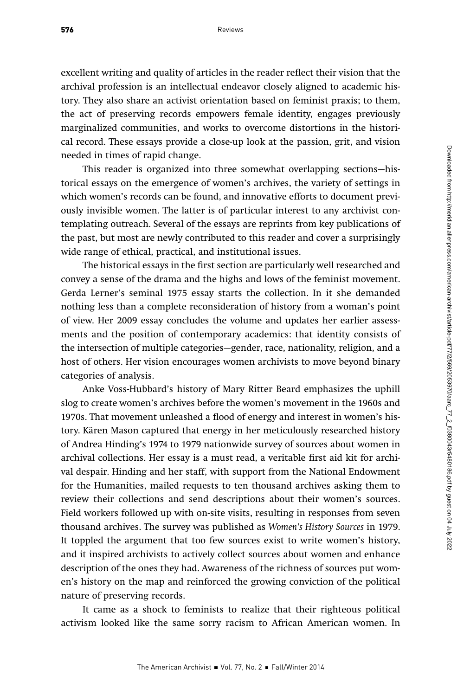excellent writing and quality of articles in the reader reflect their vision that the archival profession is an intellectual endeavor closely aligned to academic history. They also share an activist orientation based on feminist praxis; to them, the act of preserving records empowers female identity, engages previously marginalized communities, and works to overcome distortions in the historical record. These essays provide a close-up look at the passion, grit, and vision needed in times of rapid change.

This reader is organized into three somewhat overlapping sections—historical essays on the emergence of women's archives, the variety of settings in which women's records can be found, and innovative efforts to document previously invisible women. The latter is of particular interest to any archivist contemplating outreach. Several of the essays are reprints from key publications of the past, but most are newly contributed to this reader and cover a surprisingly wide range of ethical, practical, and institutional issues.

The historical essays in the first section are particularly well researched and convey a sense of the drama and the highs and lows of the feminist movement. Gerda Lerner's seminal 1975 essay starts the collection. In it she demanded nothing less than a complete reconsideration of history from a woman's point of view. Her 2009 essay concludes the volume and updates her earlier assessments and the position of contemporary academics: that identity consists of the intersection of multiple categories—gender, race, nationality, religion, and a host of others. Her vision encourages women archivists to move beyond binary categories of analysis.

Anke Voss-Hubbard's history of Mary Ritter Beard emphasizes the uphill slog to create women's archives before the women's movement in the 1960s and 1970s. That movement unleashed a flood of energy and interest in women's history. Kären Mason captured that energy in her meticulously researched history of Andrea Hinding's 1974 to 1979 nationwide survey of sources about women in archival collections. Her essay is a must read, a veritable first aid kit for archival despair. Hinding and her staff, with support from the National Endowment for the Humanities, mailed requests to ten thousand archives asking them to review their collections and send descriptions about their women's sources. Field workers followed up with on-site visits, resulting in responses from seven thousand archives. The survey was published as Women's History Sources in 1979. It toppled the argument that too few sources exist to write women's history, and it inspired archivists to actively collect sources about women and enhance description of the ones they had. Awareness of the richness of sources put women's history on the map and reinforced the growing conviction of the political nature of preserving records.

It came as a shock to feminists to realize that their righteous political activism looked like the same sorry racism to African American women. In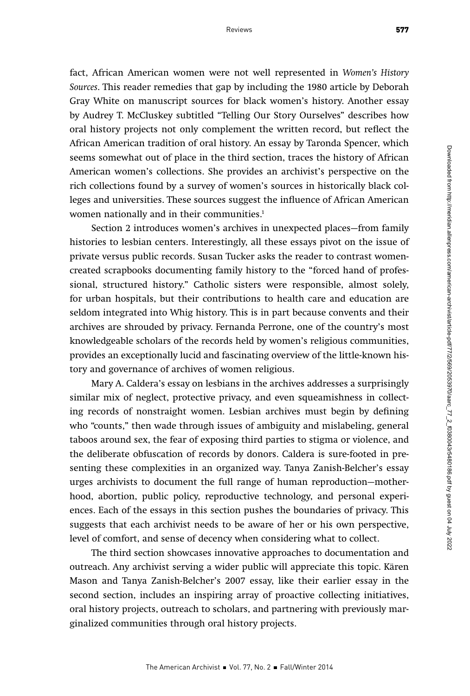fact, African American women were not well represented in Women's History Sources. This reader remedies that gap by including the 1980 article by Deborah Gray White on manuscript sources for black women's history. Another essay by Audrey T. McCluskey subtitled "Telling Our Story Ourselves" describes how oral history projects not only complement the written record, but reflect the African American tradition of oral history. An essay by Taronda Spencer, which seems somewhat out of place in the third section, traces the history of African American women's collections. She provides an archivist's perspective on the rich collections found by a survey of women's sources in historically black colleges and universities. These sources suggest the influence of African American women nationally and in their communities.<sup>1</sup>

Section 2 introduces women's archives in unexpected places—from family histories to lesbian centers. Interestingly, all these essays pivot on the issue of private versus public records. Susan Tucker asks the reader to contrast womencreated scrapbooks documenting family history to the "forced hand of professional, structured history." Catholic sisters were responsible, almost solely, for urban hospitals, but their contributions to health care and education are seldom integrated into Whig history. This is in part because convents and their archives are shrouded by privacy. Fernanda Perrone, one of the country's most knowledgeable scholars of the records held by women's religious communities, provides an exceptionally lucid and fascinating overview of the little-known history and governance of archives of women religious.

Mary A. Caldera's essay on lesbians in the archives addresses a surprisingly similar mix of neglect, protective privacy, and even squeamishness in collecting records of nonstraight women. Lesbian archives must begin by defining who "counts," then wade through issues of ambiguity and mislabeling, general taboos around sex, the fear of exposing third parties to stigma or violence, and the deliberate obfuscation of records by donors. Caldera is sure-footed in presenting these complexities in an organized way. Tanya Zanish-Belcher's essay urges archivists to document the full range of human reproduction—motherhood, abortion, public policy, reproductive technology, and personal experiences. Each of the essays in this section pushes the boundaries of privacy. This suggests that each archivist needs to be aware of her or his own perspective, level of comfort, and sense of decency when considering what to collect.

The third section showcases innovative approaches to documentation and outreach. Any archivist serving a wider public will appreciate this topic. Kären Mason and Tanya Zanish-Belcher's 2007 essay, like their earlier essay in the second section, includes an inspiring array of proactive collecting initiatives, oral history projects, outreach to scholars, and partnering with previously marginalized communities through oral history projects.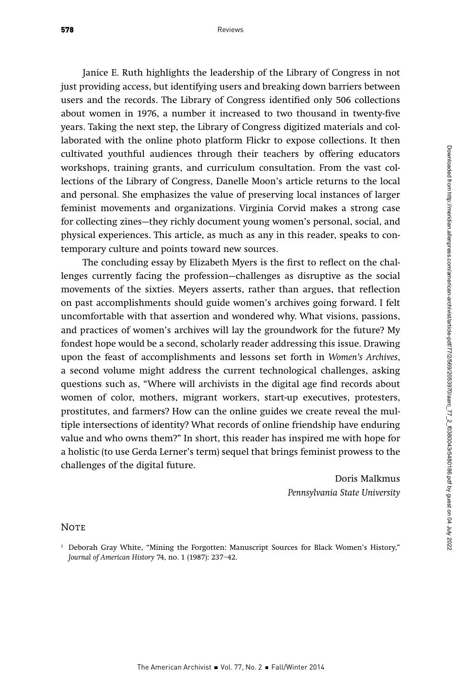Janice E. Ruth highlights the leadership of the Library of Congress in not just providing access, but identifying users and breaking down barriers between users and the records. The Library of Congress identified only 506 collections about women in 1976, a number it increased to two thousand in twenty-five years. Taking the next step, the Library of Congress digitized materials and collaborated with the online photo platform Flickr to expose collections. It then cultivated youthful audiences through their teachers by offering educators workshops, training grants, and curriculum consultation. From the vast collections of the Library of Congress, Danelle Moon's article returns to the local and personal. She emphasizes the value of preserving local instances of larger feminist movements and organizations. Virginia Corvid makes a strong case for collecting zines—they richly document young women's personal, social, and physical experiences. This article, as much as any in this reader, speaks to contemporary culture and points toward new sources.

The concluding essay by Elizabeth Myers is the first to reflect on the challenges currently facing the profession—challenges as disruptive as the social movements of the sixties. Meyers asserts, rather than argues, that reflection on past accomplishments should guide women's archives going forward. I felt uncomfortable with that assertion and wondered why. What visions, passions, and practices of women's archives will lay the groundwork for the future? My fondest hope would be a second, scholarly reader addressing this issue. Drawing upon the feast of accomplishments and lessons set forth in Women's Archives, a second volume might address the current technological challenges, asking questions such as, "Where will archivists in the digital age find records about women of color, mothers, migrant workers, start-up executives, protesters, prostitutes, and farmers? How can the online guides we create reveal the multiple intersections of identity? What records of online friendship have enduring value and who owns them?" In short, this reader has inspired me with hope for a holistic (to use Gerda Lerner's term) sequel that brings feminist prowess to the challenges of the digital future.

> Doris Malkmus Pennsylvania State University

#### **NOTE**

<sup>1</sup> Deborah Gray White, "Mining the Forgotten: Manuscript Sources for Black Women's History," Journal of American History 74, no. 1 (1987): 237–42.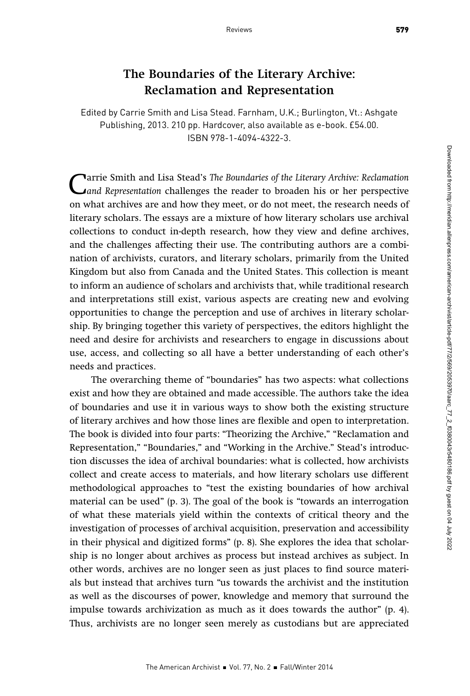## The Boundaries of the Literary Archive: Reclamation and Representation

Edited by Carrie Smith and Lisa Stead. Farnham, U.K.; Burlington, Vt.: Ashgate Publishing, 2013. 210 pp. Hardcover, also available as e-book. £54.00. ISBN 978-1-4094-4322-3.

Carrie Smith and Lisa Stead's The Boundaries of the Literary Archive: Reclamation<br>
Cand Representation challenges the reader to broaden his or her perspective<br>
an what archives are and have they meet, and a net meet, the r on what archives are and how they meet, or do not meet, the research needs of literary scholars. The essays are a mixture of how literary scholars use archival collections to conduct in-depth research, how they view and define archives, and the challenges affecting their use. The contributing authors are a combination of archivists, curators, and literary scholars, primarily from the United Kingdom but also from Canada and the United States. This collection is meant to inform an audience of scholars and archivists that, while traditional research and interpretations still exist, various aspects are creating new and evolving opportunities to change the perception and use of archives in literary scholarship. By bringing together this variety of perspectives, the editors highlight the need and desire for archivists and researchers to engage in discussions about use, access, and collecting so all have a better understanding of each other's needs and practices.

The overarching theme of "boundaries" has two aspects: what collections exist and how they are obtained and made accessible. The authors take the idea of boundaries and use it in various ways to show both the existing structure of literary archives and how those lines are flexible and open to interpretation. The book is divided into four parts: "Theorizing the Archive," "Reclamation and Representation," "Boundaries," and "Working in the Archive." Stead's introduction discusses the idea of archival boundaries: what is collected, how archivists collect and create access to materials, and how literary scholars use different methodological approaches to "test the existing boundaries of how archival material can be used" (p. 3). The goal of the book is "towards an interrogation of what these materials yield within the contexts of critical theory and the investigation of processes of archival acquisition, preservation and accessibility in their physical and digitized forms" (p. 8). She explores the idea that scholarship is no longer about archives as process but instead archives as subject. In other words, archives are no longer seen as just places to find source materials but instead that archives turn "us towards the archivist and the institution as well as the discourses of power, knowledge and memory that surround the impulse towards archivization as much as it does towards the author" (p. 4). Thus, archivists are no longer seen merely as custodians but are appreciated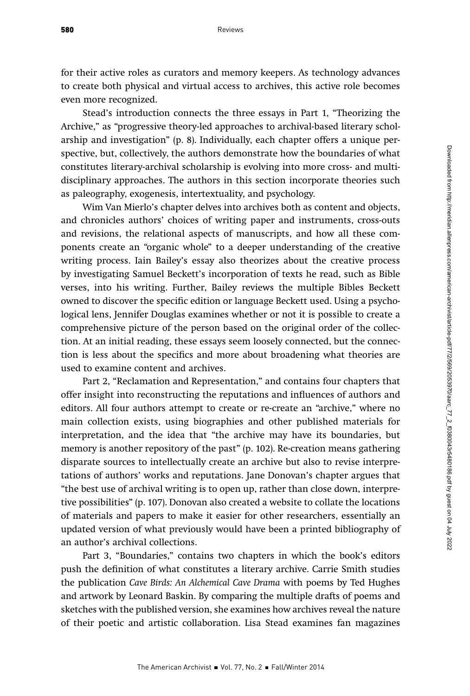for their active roles as curators and memory keepers. As technology advances to create both physical and virtual access to archives, this active role becomes even more recognized.

Stead's introduction connects the three essays in Part 1, "Theorizing the Archive," as "progressive theory-led approaches to archival-based literary scholarship and investigation" (p. 8). Individually, each chapter offers a unique perspective, but, collectively, the authors demonstrate how the boundaries of what constitutes literary-archival scholarship is evolving into more cross- and multidisciplinary approaches. The authors in this section incorporate theories such as paleography, exogenesis, intertextuality, and psychology.

Wim Van Mierlo's chapter delves into archives both as content and objects, and chronicles authors' choices of writing paper and instruments, cross-outs and revisions, the relational aspects of manuscripts, and how all these components create an "organic whole" to a deeper understanding of the creative writing process. Iain Bailey's essay also theorizes about the creative process by investigating Samuel Beckett's incorporation of texts he read, such as Bible verses, into his writing. Further, Bailey reviews the multiple Bibles Beckett owned to discover the specific edition or language Beckett used. Using a psychological lens, Jennifer Douglas examines whether or not it is possible to create a comprehensive picture of the person based on the original order of the collection. At an initial reading, these essays seem loosely connected, but the connection is less about the specifics and more about broadening what theories are used to examine content and archives.

Part 2, "Reclamation and Representation," and contains four chapters that offer insight into reconstructing the reputations and influences of authors and editors. All four authors attempt to create or re-create an "archive," where no main collection exists, using biographies and other published materials for interpretation, and the idea that "the archive may have its boundaries, but memory is another repository of the past" (p. 102). Re-creation means gathering disparate sources to intellectually create an archive but also to revise interpretations of authors' works and reputations. Jane Donovan's chapter argues that "the best use of archival writing is to open up, rather than close down, interpretive possibilities" (p. 107). Donovan also created a website to collate the locations of materials and papers to make it easier for other researchers, essentially an updated version of what previously would have been a printed bibliography of an author's archival collections.

Part 3, "Boundaries," contains two chapters in which the book's editors push the definition of what constitutes a literary archive. Carrie Smith studies the publication Cave Birds: An Alchemical Cave Drama with poems by Ted Hughes and artwork by Leonard Baskin. By comparing the multiple drafts of poems and sketches with the published version, she examines how archives reveal the nature of their poetic and artistic collaboration. Lisa Stead examines fan magazines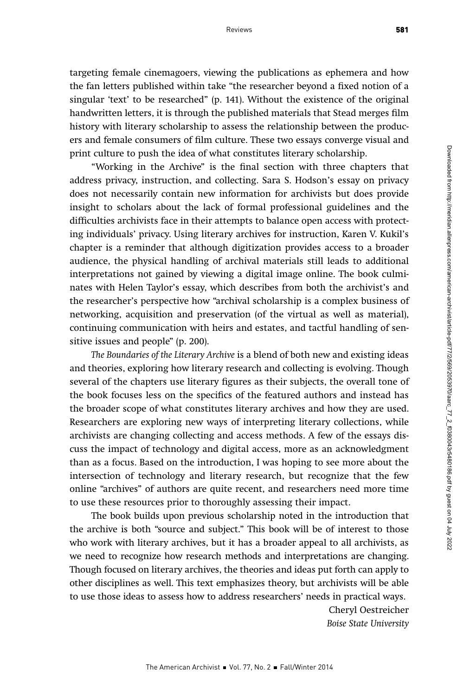targeting female cinemagoers, viewing the publications as ephemera and how the fan letters published within take "the researcher beyond a fixed notion of a singular 'text' to be researched" (p. 141). Without the existence of the original handwritten letters, it is through the published materials that Stead merges film history with literary scholarship to assess the relationship between the producers and female consumers of film culture. These two essays converge visual and print culture to push the idea of what constitutes literary scholarship.

"Working in the Archive" is the final section with three chapters that address privacy, instruction, and collecting. Sara S. Hodson's essay on privacy does not necessarily contain new information for archivists but does provide insight to scholars about the lack of formal professional guidelines and the difficulties archivists face in their attempts to balance open access with protecting individuals' privacy. Using literary archives for instruction, Karen V. Kukil's chapter is a reminder that although digitization provides access to a broader audience, the physical handling of archival materials still leads to additional interpretations not gained by viewing a digital image online. The book culminates with Helen Taylor's essay, which describes from both the archivist's and the researcher's perspective how "archival scholarship is a complex business of networking, acquisition and preservation (of the virtual as well as material), continuing communication with heirs and estates, and tactful handling of sensitive issues and people" (p. 200).

The Boundaries of the Literary Archive is a blend of both new and existing ideas and theories, exploring how literary research and collecting is evolving. Though several of the chapters use literary figures as their subjects, the overall tone of the book focuses less on the specifics of the featured authors and instead has the broader scope of what constitutes literary archives and how they are used. Researchers are exploring new ways of interpreting literary collections, while archivists are changing collecting and access methods. A few of the essays discuss the impact of technology and digital access, more as an acknowledgment than as a focus. Based on the introduction, I was hoping to see more about the intersection of technology and literary research, but recognize that the few online "archives" of authors are quite recent, and researchers need more time to use these resources prior to thoroughly assessing their impact.

The book builds upon previous scholarship noted in the introduction that the archive is both "source and subject." This book will be of interest to those who work with literary archives, but it has a broader appeal to all archivists, as we need to recognize how research methods and interpretations are changing. Though focused on literary archives, the theories and ideas put forth can apply to other disciplines as well. This text emphasizes theory, but archivists will be able to use those ideas to assess how to address researchers' needs in practical ways.

> Cheryl Oestreicher Boise State University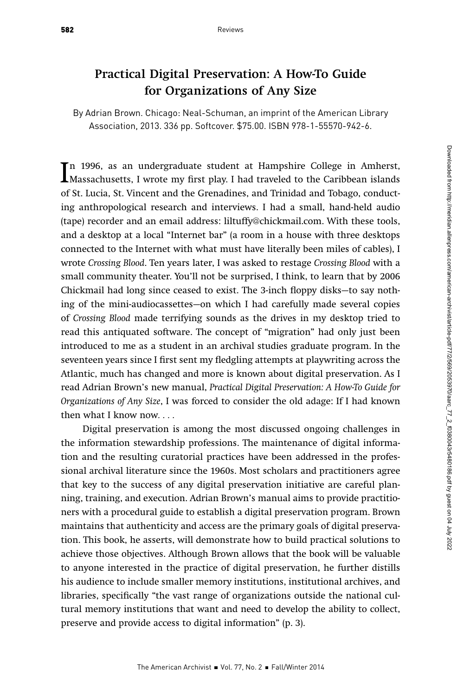## Practical Digital Preservation: A How-To Guide for Organizations of Any Size

By Adrian Brown. Chicago: Neal-Schuman, an imprint of the American Library Association, 2013. 336 pp. Softcover. \$75.00. ISBN 978-1-55570-942-6.

In 1996, as an undergraduate student at Hampshire College in Amherst,<br>Massachusetts, I wrote my first play. I had traveled to the Caribbean islands<br>of St. Issais St. Vincent and the Carno dince and Trinidad and Tabase, son n 1996, as an undergraduate student at Hampshire College in Amherst, of St. Lucia, St. Vincent and the Grenadines, and Trinidad and Tobago, conducting anthropological research and interviews. I had a small, hand-held audio (tape) recorder and an email address: liltuffy@chickmail.com. With these tools, and a desktop at a local "Internet bar" (a room in a house with three desktops connected to the Internet with what must have literally been miles of cables), I wrote Crossing Blood. Ten years later, I was asked to restage Crossing Blood with a small community theater. You'll not be surprised, I think, to learn that by 2006 Chickmail had long since ceased to exist. The 3-inch floppy disks—to say nothing of the mini-audiocassettes—on which I had carefully made several copies of Crossing Blood made terrifying sounds as the drives in my desktop tried to read this antiquated software. The concept of "migration" had only just been introduced to me as a student in an archival studies graduate program. In the seventeen years since I first sent my fledgling attempts at playwriting across the Atlantic, much has changed and more is known about digital preservation. As I read Adrian Brown's new manual, Practical Digital Preservation: A How-To Guide for Organizations of Any Size, I was forced to consider the old adage: If I had known then what I know now. . . .

Digital preservation is among the most discussed ongoing challenges in the information stewardship professions. The maintenance of digital information and the resulting curatorial practices have been addressed in the professional archival literature since the 1960s. Most scholars and practitioners agree that key to the success of any digital preservation initiative are careful planning, training, and execution. Adrian Brown's manual aims to provide practitioners with a procedural guide to establish a digital preservation program. Brown maintains that authenticity and access are the primary goals of digital preservation. This book, he asserts, will demonstrate how to build practical solutions to achieve those objectives. Although Brown allows that the book will be valuable to anyone interested in the practice of digital preservation, he further distills his audience to include smaller memory institutions, institutional archives, and libraries, specifically "the vast range of organizations outside the national cultural memory institutions that want and need to develop the ability to collect, preserve and provide access to digital information" (p. 3).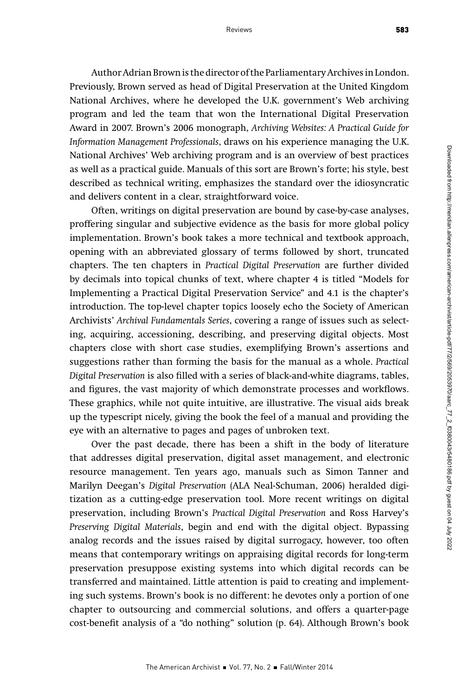Author Adrian Brown is the director of the Parliamentary Archives in London. Previously, Brown served as head of Digital Preservation at the United Kingdom National Archives, where he developed the U.K. government's Web archiving program and led the team that won the International Digital Preservation Award in 2007. Brown's 2006 monograph, Archiving Websites: A Practical Guide for Information Management Professionals, draws on his experience managing the U.K. National Archives' Web archiving program and is an overview of best practices as well as a practical guide. Manuals of this sort are Brown's forte; his style, best described as technical writing, emphasizes the standard over the idiosyncratic and delivers content in a clear, straightforward voice.

Often, writings on digital preservation are bound by case-by-case analyses, proffering singular and subjective evidence as the basis for more global policy implementation. Brown's book takes a more technical and textbook approach, opening with an abbreviated glossary of terms followed by short, truncated chapters. The ten chapters in Practical Digital Preservation are further divided by decimals into topical chunks of text, where chapter 4 is titled "Models for Implementing a Practical Digital Preservation Service" and 4.1 is the chapter's introduction. The top-level chapter topics loosely echo the Society of American Archivists' Archival Fundamentals Series, covering a range of issues such as selecting, acquiring, accessioning, describing, and preserving digital objects. Most chapters close with short case studies, exemplifying Brown's assertions and suggestions rather than forming the basis for the manual as a whole. Practical Digital Preservation is also filled with a series of black-and-white diagrams, tables, and figures, the vast majority of which demonstrate processes and workflows. These graphics, while not quite intuitive, are illustrative. The visual aids break up the typescript nicely, giving the book the feel of a manual and providing the eye with an alternative to pages and pages of unbroken text.

Over the past decade, there has been a shift in the body of literature that addresses digital preservation, digital asset management, and electronic resource management. Ten years ago, manuals such as Simon Tanner and Marilyn Deegan's Digital Preservation (ALA Neal-Schuman, 2006) heralded digitization as a cutting-edge preservation tool. More recent writings on digital preservation, including Brown's Practical Digital Preservation and Ross Harvey's Preserving Digital Materials, begin and end with the digital object. Bypassing analog records and the issues raised by digital surrogacy, however, too often means that contemporary writings on appraising digital records for long-term preservation presuppose existing systems into which digital records can be transferred and maintained. Little attention is paid to creating and implementing such systems. Brown's book is no different: he devotes only a portion of one chapter to outsourcing and commercial solutions, and offers a quarter-page cost-benefit analysis of a "do nothing" solution (p. 64). Although Brown's book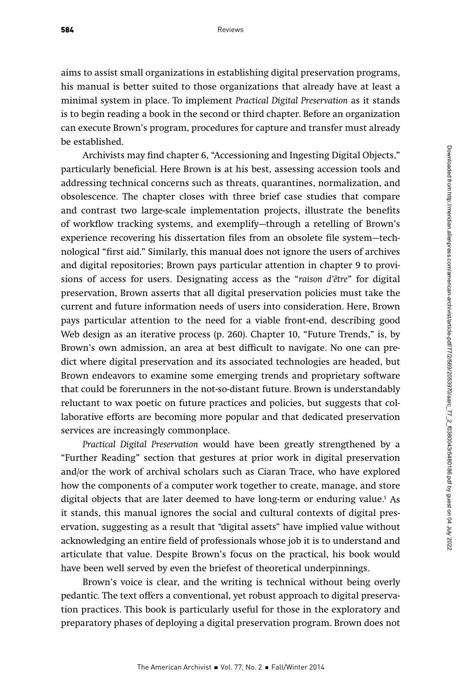584

aims to assist small organizations in establishing digital preservation programs, his manual is better suited to those organizations that already have at least a minimal system in place. To implement Practical Digital Preservation as it stands is to begin reading a book in the second or third chapter. Before an organization can execute Brown's program, procedures for capture and transfer must already be established.

Archivists may find chapter 6, "Accessioning and Ingesting Digital Objects," particularly beneficial. Here Brown is at his best, assessing accession tools and addressing technical concerns such as threats, quarantines, normalization, and obsolescence. The chapter closes with three brief case studies that compare and contrast two large-scale implementation projects, illustrate the benefits of workflow tracking systems, and exemplify—through a retelling of Brown's experience recovering his dissertation files from an obsolete file system—technological "first aid." Similarly, this manual does not ignore the users of archives and digital repositories; Brown pays particular attention in chapter 9 to provisions of access for users. Designating access as the "raison d'être" for digital preservation, Brown asserts that all digital preservation policies must take the current and future information needs of users into consideration. Here, Brown pays particular attention to the need for a viable front-end, describing good Web design as an iterative process (p. 260). Chapter 10, "Future Trends," is, by Brown's own admission, an area at best difficult to navigate. No one can predict where digital preservation and its associated technologies are headed, but Brown endeavors to examine some emerging trends and proprietary software that could be forerunners in the not-so-distant future. Brown is understandably reluctant to wax poetic on future practices and policies, but suggests that collaborative efforts are becoming more popular and that dedicated preservation services are increasingly commonplace.

Practical Digital Preservation would have been greatly strengthened by a "Further Reading" section that gestures at prior work in digital preservation and/or the work of archival scholars such as Ciaran Trace, who have explored how the components of a computer work together to create, manage, and store digital objects that are later deemed to have long-term or enduring value.1 As it stands, this manual ignores the social and cultural contexts of digital preservation, suggesting as a result that "digital assets" have implied value without acknowledging an entire field of professionals whose job it is to understand and articulate that value. Despite Brown's focus on the practical, his book would have been well served by even the briefest of theoretical underpinnings.

Brown's voice is clear, and the writing is technical without being overly pedantic. The text offers a conventional, yet robust approach to digital preservation practices. This book is particularly useful for those in the exploratory and preparatory phases of deploying a digital preservation program. Brown does not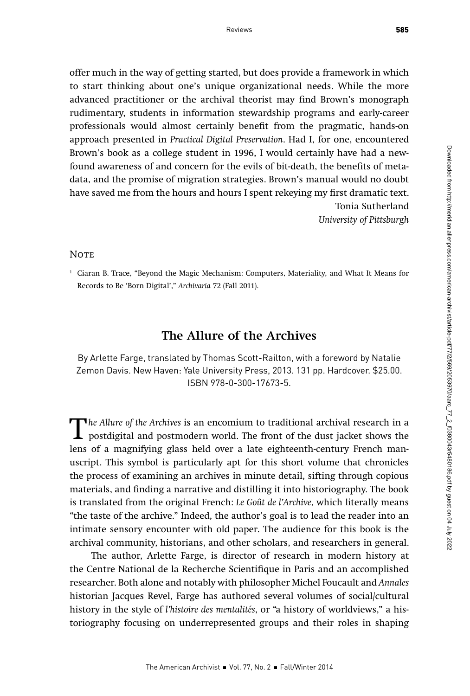offer much in the way of getting started, but does provide a framework in which to start thinking about one's unique organizational needs. While the more advanced practitioner or the archival theorist may find Brown's monograph rudimentary, students in information stewardship programs and early-career professionals would almost certainly benefit from the pragmatic, hands-on approach presented in Practical Digital Preservation. Had I, for one, encountered Brown's book as a college student in 1996, I would certainly have had a newfound awareness of and concern for the evils of bit-death, the benefits of metadata, and the promise of migration strategies. Brown's manual would no doubt have saved me from the hours and hours I spent rekeying my first dramatic text. Tonia Sutherland University of Pittsburgh

#### **NOTE**

<sup>1</sup> Ciaran B. Trace, "Beyond the Magic Mechanism: Computers, Materiality, and What It Means for Records to Be 'Born Digital'," Archivaria 72 (Fall 2011).

### The Allure of the Archives

By Arlette Farge, translated by Thomas Scott-Railton, with a foreword by Natalie Zemon Davis. New Haven: Yale University Press, 2013. 131 pp. Hardcover. \$25.00. ISBN 978-0-300-17673-5.

The Allure of the Archives is an encomium to traditional archival research in a<br>postdigital and postmodern world. The front of the dust jacket shows the<br>lons of a magnifying glass hold over a late oighteenth contury Fronch lens of a magnifying glass held over a late eighteenth-century French manuscript. This symbol is particularly apt for this short volume that chronicles the process of examining an archives in minute detail, sifting through copious materials, and finding a narrative and distilling it into historiography. The book is translated from the original French: Le Goût de l'Archive, which literally means "the taste of the archive." Indeed, the author's goal is to lead the reader into an intimate sensory encounter with old paper. The audience for this book is the archival community, historians, and other scholars, and researchers in general.

The author, Arlette Farge, is director of research in modern history at the Centre National de la Recherche Scientifique in Paris and an accomplished researcher. Both alone and notably with philosopher Michel Foucault and Annales historian Jacques Revel, Farge has authored several volumes of social/cultural history in the style of l'histoire des mentalités, or "a history of worldviews," a historiography focusing on underrepresented groups and their roles in shaping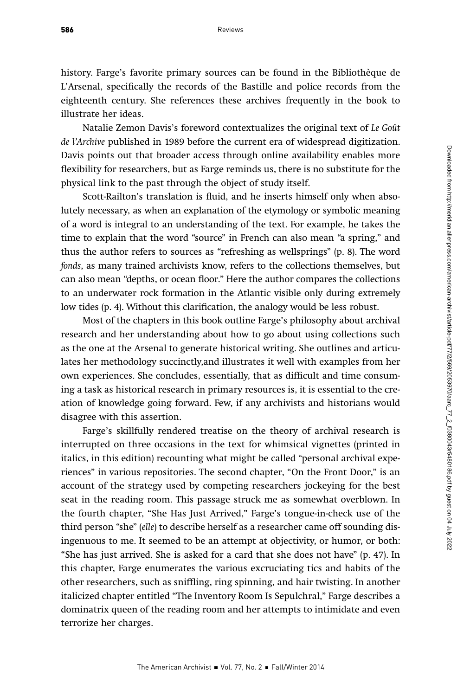history. Farge's favorite primary sources can be found in the Bibliothèque de L'Arsenal, specifically the records of the Bastille and police records from the eighteenth century. She references these archives frequently in the book to illustrate her ideas.

Natalie Zemon Davis's foreword contextualizes the original text of Le Goût de l'Archive published in 1989 before the current era of widespread digitization. Davis points out that broader access through online availability enables more flexibility for researchers, but as Farge reminds us, there is no substitute for the physical link to the past through the object of study itself.

Scott-Railton's translation is fluid, and he inserts himself only when absolutely necessary, as when an explanation of the etymology or symbolic meaning of a word is integral to an understanding of the text. For example, he takes the time to explain that the word "source" in French can also mean "a spring," and thus the author refers to sources as "refreshing as wellsprings" (p. 8). The word fonds, as many trained archivists know, refers to the collections themselves, but can also mean "depths, or ocean floor." Here the author compares the collections to an underwater rock formation in the Atlantic visible only during extremely low tides (p. 4). Without this clarification, the analogy would be less robust.

Most of the chapters in this book outline Farge's philosophy about archival research and her understanding about how to go about using collections such as the one at the Arsenal to generate historical writing. She outlines and articulates her methodology succinctly,and illustrates it well with examples from her own experiences. She concludes, essentially, that as difficult and time consuming a task as historical research in primary resources is, it is essential to the creation of knowledge going forward. Few, if any archivists and historians would disagree with this assertion.

Farge's skillfully rendered treatise on the theory of archival research is interrupted on three occasions in the text for whimsical vignettes (printed in italics, in this edition) recounting what might be called "personal archival experiences" in various repositories. The second chapter, "On the Front Door," is an account of the strategy used by competing researchers jockeying for the best seat in the reading room. This passage struck me as somewhat overblown. In the fourth chapter, "She Has Just Arrived," Farge's tongue-in-check use of the third person "she" (elle) to describe herself as a researcher came off sounding disingenuous to me. It seemed to be an attempt at objectivity, or humor, or both: "She has just arrived. She is asked for a card that she does not have" (p. 47). In this chapter, Farge enumerates the various excruciating tics and habits of the other researchers, such as sniffling, ring spinning, and hair twisting. In another italicized chapter entitled "The Inventory Room Is Sepulchral," Farge describes a dominatrix queen of the reading room and her attempts to intimidate and even terrorize her charges.